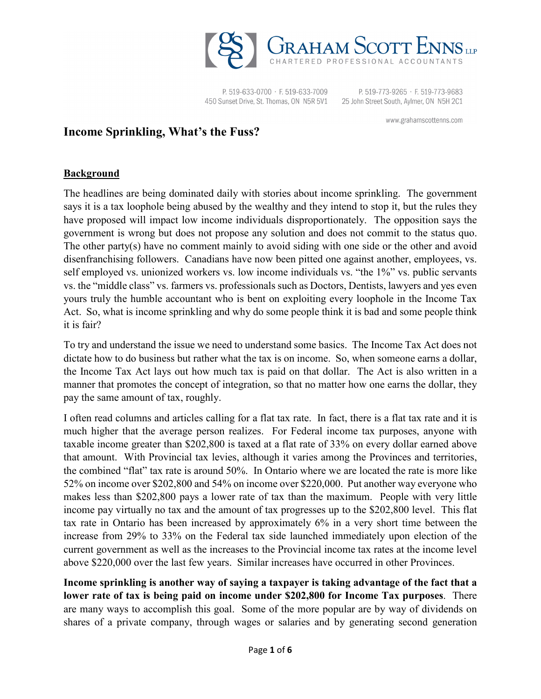

P. 519-773-9265 · F. 519-773-9683 25 John Street South, Aylmer, ON N5H 2C1

www.grahamscottenns.com

# **Income Sprinkling, What's the Fuss?**

### **Background**

The headlines are being dominated daily with stories about income sprinkling. The government says it is a tax loophole being abused by the wealthy and they intend to stop it, but the rules they have proposed will impact low income individuals disproportionately. The opposition says the government is wrong but does not propose any solution and does not commit to the status quo. The other party(s) have no comment mainly to avoid siding with one side or the other and avoid disenfranchising followers. Canadians have now been pitted one against another, employees, vs. self employed vs. unionized workers vs. low income individuals vs. "the 1%" vs. public servants vs. the "middle class" vs. farmers vs. professionals such as Doctors, Dentists, lawyers and yes even yours truly the humble accountant who is bent on exploiting every loophole in the Income Tax Act. So, what is income sprinkling and why do some people think it is bad and some people think it is fair?

To try and understand the issue we need to understand some basics. The Income Tax Act does not dictate how to do business but rather what the tax is on income. So, when someone earns a dollar, the Income Tax Act lays out how much tax is paid on that dollar. The Act is also written in a manner that promotes the concept of integration, so that no matter how one earns the dollar, they pay the same amount of tax, roughly.

I often read columns and articles calling for a flat tax rate. In fact, there is a flat tax rate and it is much higher that the average person realizes. For Federal income tax purposes, anyone with taxable income greater than \$202,800 is taxed at a flat rate of 33% on every dollar earned above that amount. With Provincial tax levies, although it varies among the Provinces and territories, the combined "flat" tax rate is around 50%. In Ontario where we are located the rate is more like 52% on income over \$202,800 and 54% on income over \$220,000. Put another way everyone who makes less than \$202,800 pays a lower rate of tax than the maximum. People with very little income pay virtually no tax and the amount of tax progresses up to the \$202,800 level. This flat tax rate in Ontario has been increased by approximately 6% in a very short time between the increase from 29% to 33% on the Federal tax side launched immediately upon election of the current government as well as the increases to the Provincial income tax rates at the income level above \$220,000 over the last few years. Similar increases have occurred in other Provinces.

**Income sprinkling is another way of saying a taxpayer is taking advantage of the fact that a lower rate of tax is being paid on income under \$202,800 for Income Tax purposes**. There are many ways to accomplish this goal. Some of the more popular are by way of dividends on shares of a private company, through wages or salaries and by generating second generation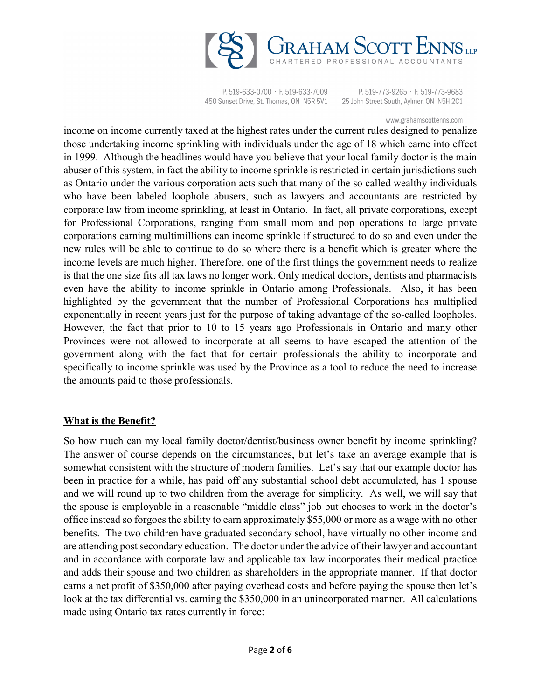

P. 519-773-9265 · F. 519-773-9683 25 John Street South, Aylmer, ON N5H 2C1

www.grahamscottenns.com

income on income currently taxed at the highest rates under the current rules designed to penalize those undertaking income sprinkling with individuals under the age of 18 which came into effect in 1999. Although the headlines would have you believe that your local family doctor is the main abuser of this system, in fact the ability to income sprinkle is restricted in certain jurisdictions such as Ontario under the various corporation acts such that many of the so called wealthy individuals who have been labeled loophole abusers, such as lawyers and accountants are restricted by corporate law from income sprinkling, at least in Ontario. In fact, all private corporations, except for Professional Corporations, ranging from small mom and pop operations to large private corporations earning multimillions can income sprinkle if structured to do so and even under the new rules will be able to continue to do so where there is a benefit which is greater where the income levels are much higher. Therefore, one of the first things the government needs to realize is that the one size fits all tax laws no longer work. Only medical doctors, dentists and pharmacists even have the ability to income sprinkle in Ontario among Professionals. Also, it has been highlighted by the government that the number of Professional Corporations has multiplied exponentially in recent years just for the purpose of taking advantage of the so-called loopholes. However, the fact that prior to 10 to 15 years ago Professionals in Ontario and many other Provinces were not allowed to incorporate at all seems to have escaped the attention of the government along with the fact that for certain professionals the ability to incorporate and specifically to income sprinkle was used by the Province as a tool to reduce the need to increase the amounts paid to those professionals.

## **What is the Benefit?**

So how much can my local family doctor/dentist/business owner benefit by income sprinkling? The answer of course depends on the circumstances, but let's take an average example that is somewhat consistent with the structure of modern families. Let's say that our example doctor has been in practice for a while, has paid off any substantial school debt accumulated, has 1 spouse and we will round up to two children from the average for simplicity. As well, we will say that the spouse is employable in a reasonable "middle class" job but chooses to work in the doctor's office instead so forgoes the ability to earn approximately \$55,000 or more as a wage with no other benefits. The two children have graduated secondary school, have virtually no other income and are attending post secondary education. The doctor under the advice of their lawyer and accountant and in accordance with corporate law and applicable tax law incorporates their medical practice and adds their spouse and two children as shareholders in the appropriate manner. If that doctor earns a net profit of \$350,000 after paying overhead costs and before paying the spouse then let's look at the tax differential vs. earning the \$350,000 in an unincorporated manner. All calculations made using Ontario tax rates currently in force: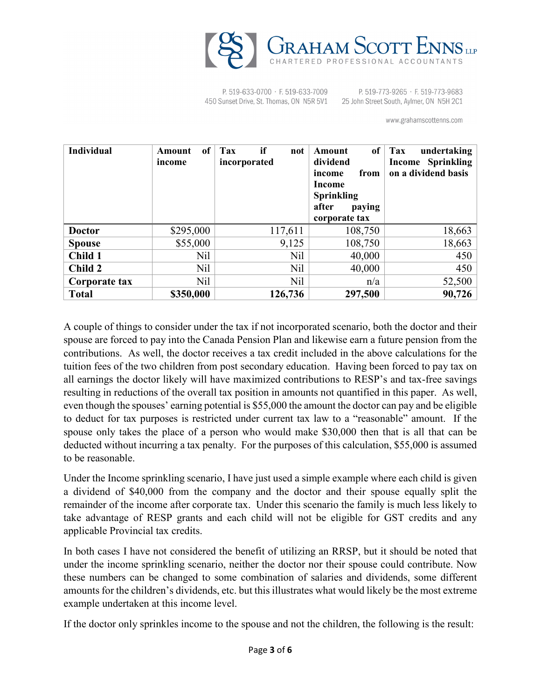

P. 519-773-9265 · F. 519-773-9683 25 John Street South, Aylmer, ON N5H 2C1

www.grahamscottenns.com

| <b>Individual</b> | of<br>Amount<br>income | if<br>Tax<br>not<br>incorporated | of<br>Amount<br>dividend<br>from<br>income<br>Income<br><b>Sprinkling</b><br>after<br>paying<br>corporate tax | Tax<br>undertaking<br>Income Sprinkling<br>on a dividend basis |
|-------------------|------------------------|----------------------------------|---------------------------------------------------------------------------------------------------------------|----------------------------------------------------------------|
| <b>Doctor</b>     | \$295,000              | 117,611                          | 108,750                                                                                                       | 18,663                                                         |
| <b>Spouse</b>     | \$55,000               | 9,125                            | 108,750                                                                                                       | 18,663                                                         |
| Child 1           | <b>Nil</b>             | Nil                              | 40,000                                                                                                        | 450                                                            |
| Child 2           | <b>Nil</b>             | Nil                              | 40,000                                                                                                        | 450                                                            |
| Corporate tax     | Nil                    | Nil                              | n/a                                                                                                           | 52,500                                                         |
| <b>Total</b>      | \$350,000              | 126,736                          | 297,500                                                                                                       | 90,726                                                         |

A couple of things to consider under the tax if not incorporated scenario, both the doctor and their spouse are forced to pay into the Canada Pension Plan and likewise earn a future pension from the contributions. As well, the doctor receives a tax credit included in the above calculations for the tuition fees of the two children from post secondary education. Having been forced to pay tax on all earnings the doctor likely will have maximized contributions to RESP's and tax-free savings resulting in reductions of the overall tax position in amounts not quantified in this paper. As well, even though the spouses' earning potential is \$55,000 the amount the doctor can pay and be eligible to deduct for tax purposes is restricted under current tax law to a "reasonable" amount. If the spouse only takes the place of a person who would make \$30,000 then that is all that can be deducted without incurring a tax penalty. For the purposes of this calculation, \$55,000 is assumed to be reasonable.

Under the Income sprinkling scenario, I have just used a simple example where each child is given a dividend of \$40,000 from the company and the doctor and their spouse equally split the remainder of the income after corporate tax. Under this scenario the family is much less likely to take advantage of RESP grants and each child will not be eligible for GST credits and any applicable Provincial tax credits.

In both cases I have not considered the benefit of utilizing an RRSP, but it should be noted that under the income sprinkling scenario, neither the doctor nor their spouse could contribute. Now these numbers can be changed to some combination of salaries and dividends, some different amounts for the children's dividends, etc. but this illustrates what would likely be the most extreme example undertaken at this income level.

If the doctor only sprinkles income to the spouse and not the children, the following is the result: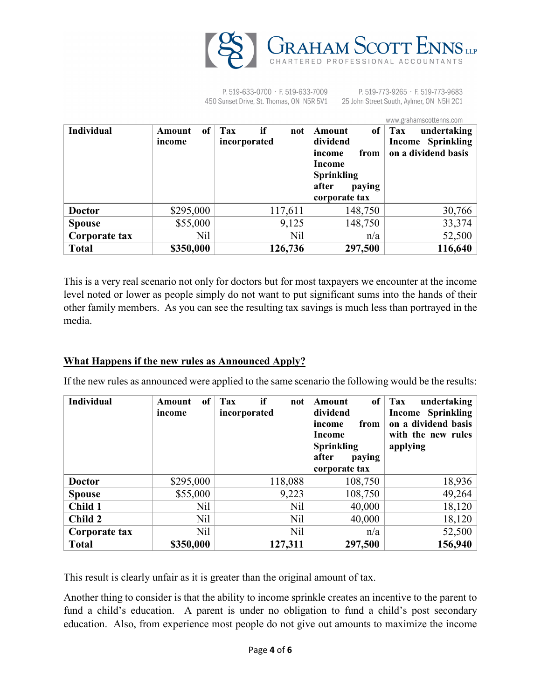

P. 519-773-9265 · F. 519-773-9683 25 John Street South, Aylmer, ON N5H 2C1

|               |                         |                  |                   | www.grahamscottenns.com  |
|---------------|-------------------------|------------------|-------------------|--------------------------|
| Individual    | <sub>of</sub><br>Amount | if<br>Tax<br>not | of<br>Amount      | undertaking<br>Tax       |
|               | income                  | incorporated     | dividend          | <b>Income Sprinkling</b> |
|               |                         |                  | from<br>income    | on a dividend basis      |
|               |                         |                  | Income            |                          |
|               |                         |                  | <b>Sprinkling</b> |                          |
|               |                         |                  | after<br>paying   |                          |
|               |                         |                  | corporate tax     |                          |
| <b>Doctor</b> | \$295,000               | 117,611          | 148,750           | 30,766                   |
| <b>Spouse</b> | \$55,000                | 9,125            | 148,750           | 33,374                   |
| Corporate tax | Nil                     | Nil              | n/a               | 52,500                   |
| <b>Total</b>  | \$350,000               | 126,736          | 297,500           | 116,640                  |

This is a very real scenario not only for doctors but for most taxpayers we encounter at the income level noted or lower as people simply do not want to put significant sums into the hands of their other family members. As you can see the resulting tax savings is much less than portrayed in the media.

## **What Happens if the new rules as Announced Apply?**

If the new rules as announced were applied to the same scenario the following would be the results:

| Individual    | of<br>Amount<br>income | if<br>Tax<br>not<br>incorporated | of<br>Amount<br>dividend<br>from<br>income<br>Income<br><b>Sprinkling</b><br>after<br>paying<br>corporate tax | Tax<br>undertaking<br><b>Income Sprinkling</b><br>on a dividend basis<br>with the new rules<br>applying |
|---------------|------------------------|----------------------------------|---------------------------------------------------------------------------------------------------------------|---------------------------------------------------------------------------------------------------------|
| <b>Doctor</b> | \$295,000              | 118,088                          | 108,750                                                                                                       | 18,936                                                                                                  |
| <b>Spouse</b> | \$55,000               | 9,223                            | 108,750                                                                                                       | 49,264                                                                                                  |
| Child 1       | <b>Nil</b>             | Nil                              | 40,000                                                                                                        | 18,120                                                                                                  |
| Child 2       | <b>Nil</b>             | Nil                              | 40,000                                                                                                        | 18,120                                                                                                  |
| Corporate tax | <b>Nil</b>             | <b>Nil</b>                       | n/a                                                                                                           | 52,500                                                                                                  |
| <b>Total</b>  | \$350,000              | 127,311                          | 297,500                                                                                                       | 156,940                                                                                                 |

This result is clearly unfair as it is greater than the original amount of tax.

Another thing to consider is that the ability to income sprinkle creates an incentive to the parent to fund a child's education. A parent is under no obligation to fund a child's post secondary education. Also, from experience most people do not give out amounts to maximize the income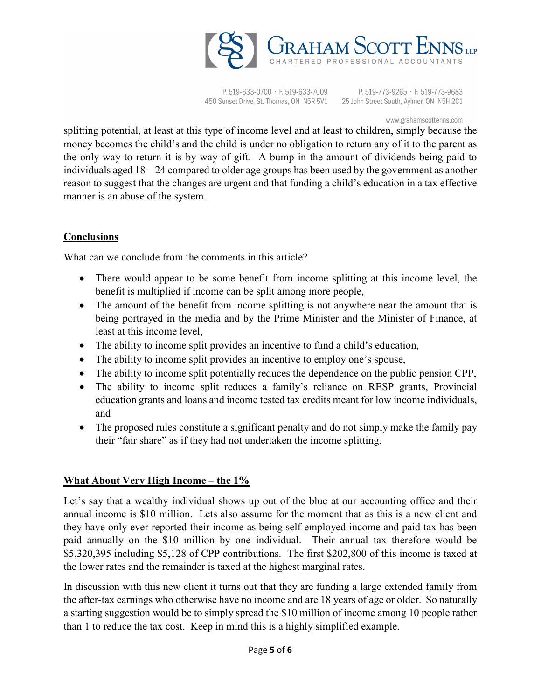

P. 519-773-9265 · F. 519-773-9683 25 John Street South, Aylmer, ON N5H 2C1

#### www.grahamscottenns.com

splitting potential, at least at this type of income level and at least to children, simply because the money becomes the child's and the child is under no obligation to return any of it to the parent as the only way to return it is by way of gift. A bump in the amount of dividends being paid to individuals aged 18 – 24 compared to older age groups has been used by the government as another reason to suggest that the changes are urgent and that funding a child's education in a tax effective manner is an abuse of the system.

## **Conclusions**

What can we conclude from the comments in this article?

- There would appear to be some benefit from income splitting at this income level, the benefit is multiplied if income can be split among more people,
- The amount of the benefit from income splitting is not anywhere near the amount that is being portrayed in the media and by the Prime Minister and the Minister of Finance, at least at this income level,
- The ability to income split provides an incentive to fund a child's education,
- The ability to income split provides an incentive to employ one's spouse,
- The ability to income split potentially reduces the dependence on the public pension CPP,
- The ability to income split reduces a family's reliance on RESP grants, Provincial education grants and loans and income tested tax credits meant for low income individuals, and
- The proposed rules constitute a significant penalty and do not simply make the family pay their "fair share" as if they had not undertaken the income splitting.

# **What About Very High Income – the 1%**

Let's say that a wealthy individual shows up out of the blue at our accounting office and their annual income is \$10 million. Lets also assume for the moment that as this is a new client and they have only ever reported their income as being self employed income and paid tax has been paid annually on the \$10 million by one individual. Their annual tax therefore would be \$5,320,395 including \$5,128 of CPP contributions. The first \$202,800 of this income is taxed at the lower rates and the remainder is taxed at the highest marginal rates.

In discussion with this new client it turns out that they are funding a large extended family from the after-tax earnings who otherwise have no income and are 18 years of age or older. So naturally a starting suggestion would be to simply spread the \$10 million of income among 10 people rather than 1 to reduce the tax cost. Keep in mind this is a highly simplified example.